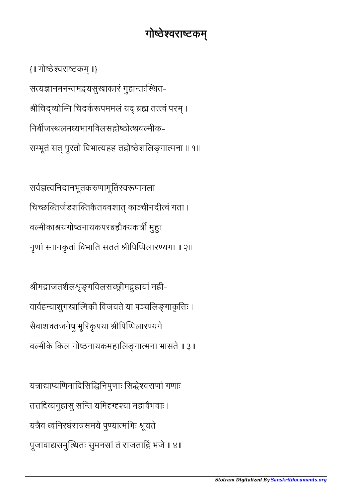## गोष्ठेश्वराष्टकम्

{॥ गोठेवराटक ॥} सत्यज्ञानमनन्तमद्वयसुखाकारं गुहान्तःस्थित-श्रीचिद्व्योम्नि चिदर्करूपममलं यद् ब्रह्म तत्त्वं परम् । निर्बीजस्थलमध्यभागविलसद्गोष्ठोत्थवल्मीक-सम्भूतं सत् पुरतो विभात्यहह तद्गोष्ठेशलिङ्गात्मना ॥ १॥

सर्वज्ञत्वनिदानभूतकरुणामूर्तिस्वरूपामला चिच्छक्तिर्जडशक्तिकैतववशात् काञ्चीनदीत्वं गता । वल्मीकाश्रयगोष्ठनायकपरब्रह्मैक्यकर्त्री मुहुः नृणां स्नानकृतां विभाति सततं श्रीपिप्पिलारण्यगा ॥ २॥

श्रीमद्राजतशैलश्रङ्गविलसच्छ्रीमद्गुहायां मही-वार्वह्न्याशुगखात्मिकी विजयते या पञ्चलिङ्गाकृतिः । सैवाशक्तजनेषु भूरिकृपया श्रीपिप्पिलारण्यगे वल्मीके किल गोष्ठनायकमहालिङ्गात्मना भासते ॥ ३॥

यत्राद्याप्यणिमादिसिद्धिनिपुणाः सिद्धेश्वराणां गणाः तत्तद्दिव्यगुहासु सन्ति यमिद्दग्दृश्या महावैभवाः । यत्रैव ध्वनिरर्धरात्रसमये पुण्यात्मभिः श्रूयते पूजावाद्यसमुत्थितः सुमनसां तं राजताद्रिं भजे ॥ ४॥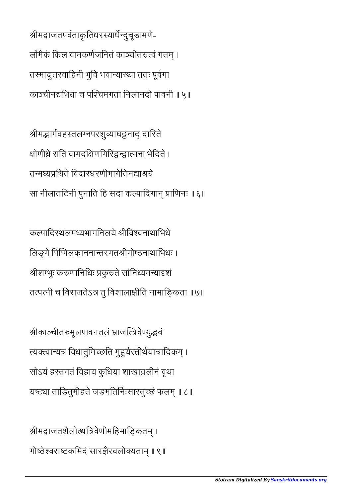श्रीमद्राजतपर्वताकृतिधरस्यार्धेन्दुचूडामणे-लोंमैकं किल वामकर्णजनितं काञ्चीतरुत्वं गतम् । तमादुरवािहनी भुिव भवायाया ततः पूवगा काञ्चीनद्यभिधा च पश्चिमगता निलानदी पावनी ॥ ५॥

श्रीमद्भार्गवहस्तलग्नपरशुव्याघट्टनाद् दारिते क्षोणीध्रे सति वामदक्षिणगिरिद्वन्द्वात्मना भेदिते । तन्मध्यप्रथिते विदारधरणीभागेतिनद्याश्रये सा नीलातटिनी पुनाति हि सदा कल्पादिगान प्राणिनः ॥ ६॥

कल्पादिस्थलमध्यभागनिलये श्रीविश्वनाथाभिधे लिङ्गे पिप्पिलकाननान्तरगतश्रीगोष्ठनाथाभिधः । श्रीशम्भुः करुणानिधिः प्रकुरुते सांनिध्यमन्यादृशं तत्पत्नी च विराजतेऽत्र तु विशालाक्षीति नामाङ्किता ॥ ७॥

श्रीकाञ्चीतरुमूलपावनतलं भ्राजत्त्रिवेण्युद्भवं त्यक्त्वान्यत्र विधातुमिच्छति मुहुर्यस्तीर्थयात्रादिकम् । सोऽयं हस्तगतं विहाय कुधिया शाखाग्रलीनं वृथा यष्ट्या ताडितुमीहते जडमतिर्निःसारतुच्छं फलम् ॥ ८॥

श्रीमद्राजतशैलोत्थत्रिवेणीमहिमाङ्कितम् । गोष्ठेश्वराष्टकमिदं सारज्ञैरवलोक्यताम् ॥ ९॥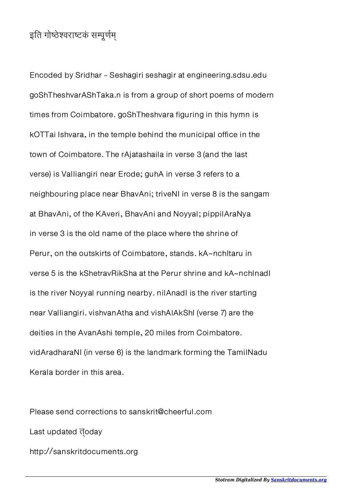## इति गोष्ठेश्वराष्टकं सम्पूर्णम्

Encoded by Sridhar - Seshagiri seshagir at engineering.sdsu.edu goShTheshvarAShTaka.n is from a group of short poems of modern times from Coimbatore. goShTheshvara figuring in this hymn is kOTTai Ishvara, in the temple behind the municipal office in the town of Coimbatore. The rAjatashaila in verse 3 (and the last verse) is Valliangiri near Erode; guhA in verse 3 refers to a neighbouring place near BhavAni; triveNI in verse 8 is the sangam at BhavAni, of the KAveri, BhavAni and Noyyal; pippilAraNya in verse 3 is the old name of the place where the shrine of Perur, on the outskirts of Coimbatore, stands. kA~nchitaru in verse 5 is the kShetravRikSha at the Perur shrine and kA~nchInadI is the river Noyyal running nearby. nilAnadI is the river starting near Valliangiri. vishvanAtha and vishAlAkShI (verse 7) are the deities in the AvanAshi temple, 20 miles from Coimbatore. vidAradharaNI (in verse 6) is the landmark forming the TamilNadu Kerala border in this area.

Please send corrections to sanskrit@cheerful.com Last updated doday http://sanskritdocuments.org